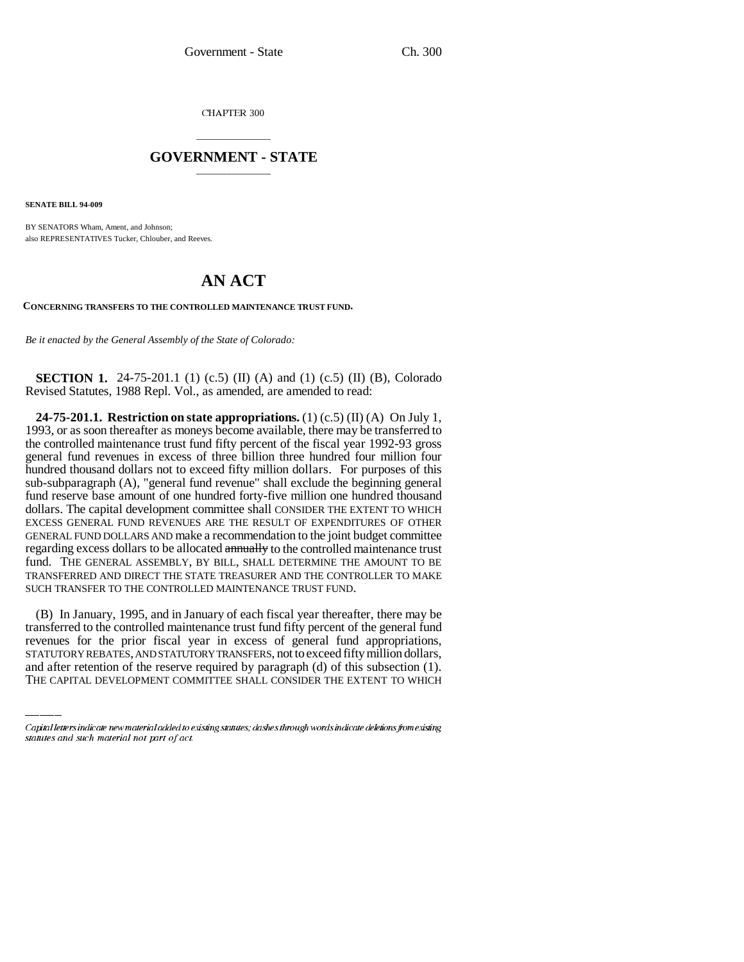CHAPTER 300

## \_\_\_\_\_\_\_\_\_\_\_\_\_\_\_ **GOVERNMENT - STATE** \_\_\_\_\_\_\_\_\_\_\_\_\_\_\_

**SENATE BILL 94-009**

BY SENATORS Wham, Ament, and Johnson; also REPRESENTATIVES Tucker, Chlouber, and Reeves.

## **AN ACT**

**CONCERNING TRANSFERS TO THE CONTROLLED MAINTENANCE TRUST FUND.**

*Be it enacted by the General Assembly of the State of Colorado:*

**SECTION 1.** 24-75-201.1 (1) (c.5) (II) (A) and (1) (c.5) (II) (B), Colorado Revised Statutes, 1988 Repl. Vol., as amended, are amended to read:

**24-75-201.1. Restriction on state appropriations.** (1) (c.5) (II) (A) On July 1, 1993, or as soon thereafter as moneys become available, there may be transferred to the controlled maintenance trust fund fifty percent of the fiscal year 1992-93 gross general fund revenues in excess of three billion three hundred four million four hundred thousand dollars not to exceed fifty million dollars. For purposes of this sub-subparagraph (A), "general fund revenue" shall exclude the beginning general fund reserve base amount of one hundred forty-five million one hundred thousand dollars. The capital development committee shall CONSIDER THE EXTENT TO WHICH EXCESS GENERAL FUND REVENUES ARE THE RESULT OF EXPENDITURES OF OTHER GENERAL FUND DOLLARS AND make a recommendation to the joint budget committee regarding excess dollars to be allocated **annually** to the controlled maintenance trust fund. THE GENERAL ASSEMBLY, BY BILL, SHALL DETERMINE THE AMOUNT TO BE TRANSFERRED AND DIRECT THE STATE TREASURER AND THE CONTROLLER TO MAKE SUCH TRANSFER TO THE CONTROLLED MAINTENANCE TRUST FUND.

transferred to the controlled maintenance trust fund fifty percent of the general fund (B) In January, 1995, and in January of each fiscal year thereafter, there may be revenues for the prior fiscal year in excess of general fund appropriations, STATUTORY REBATES, AND STATUTORY TRANSFERS, not to exceed fifty million dollars, and after retention of the reserve required by paragraph (d) of this subsection (1). THE CAPITAL DEVELOPMENT COMMITTEE SHALL CONSIDER THE EXTENT TO WHICH

Capital letters indicate new material added to existing statutes; dashes through words indicate deletions from existing statutes and such material not part of act.